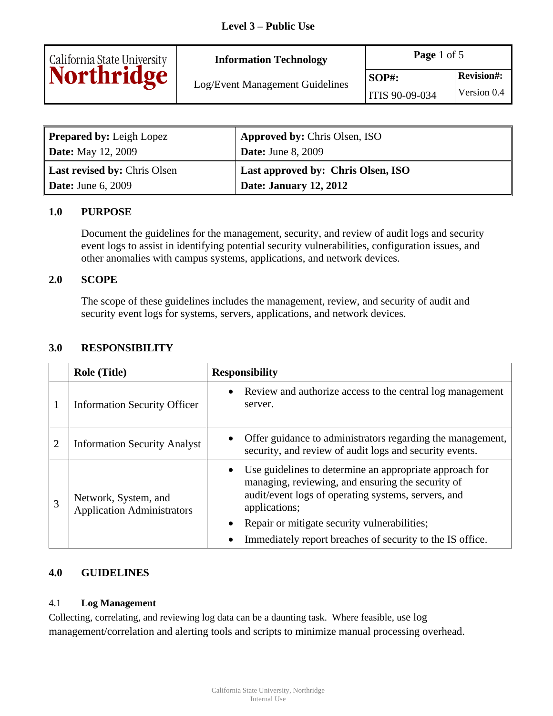

**Information Technology Page 1 of 5** 

Log/Event Management Guidelines

| <b>Prepared by:</b> Leigh Lopez | <b>Approved by: Chris Olsen, ISO</b> |
|---------------------------------|--------------------------------------|
| <b>Date:</b> May 12, 2009       | <b>Date:</b> June 8, 2009            |
|                                 |                                      |
| Last revised by: Chris Olsen    | Last approved by: Chris Olsen, ISO   |

### **1.0 PURPOSE**

Document the guidelines for the management, security, and review of audit logs and security event logs to assist in identifying potential security vulnerabilities, configuration issues, and other anomalies with campus systems, applications, and network devices.

#### **2.0 SCOPE**

The scope of these guidelines includes the management, review, and security of audit and security event logs for systems, servers, applications, and network devices.

### **3.0 RESPONSIBILITY**

|   | <b>Role (Title)</b>                                       | <b>Responsibility</b>                                                                                                                                                                                                                                                                                  |
|---|-----------------------------------------------------------|--------------------------------------------------------------------------------------------------------------------------------------------------------------------------------------------------------------------------------------------------------------------------------------------------------|
|   | <b>Information Security Officer</b>                       | • Review and authorize access to the central log management<br>server.                                                                                                                                                                                                                                 |
|   | <b>Information Security Analyst</b>                       | Offer guidance to administrators regarding the management,<br>security, and review of audit logs and security events.                                                                                                                                                                                  |
| 3 | Network, System, and<br><b>Application Administrators</b> | Use guidelines to determine an appropriate approach for<br>managing, reviewing, and ensuring the security of<br>audit/event logs of operating systems, servers, and<br>applications;<br>Repair or mitigate security vulnerabilities;<br>Immediately report breaches of security to the IS office.<br>٠ |

### **4.0 GUIDELINES**

#### 4.1 **Log Management**

Collecting, correlating, and reviewing log data can be a daunting task. Where feasible, use log management/correlation and alerting tools and scripts to minimize manual processing overhead.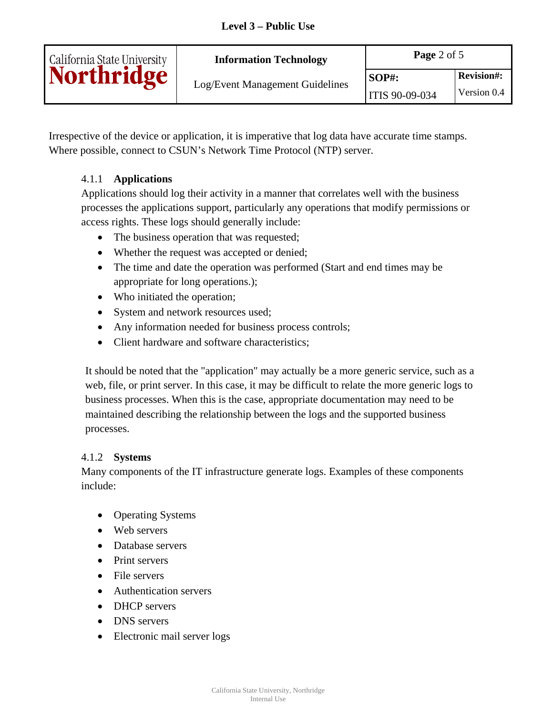| California State University<br><b>Northridge</b> | <b>Information Technology</b>   | Page 2 of $5$  |                   |
|--------------------------------------------------|---------------------------------|----------------|-------------------|
|                                                  | Log/Event Management Guidelines | $SOP#$ :       | <b>Revision#:</b> |
|                                                  |                                 | ITIS 90-09-034 | Version 0.4       |

Irrespective of the device or application, it is imperative that log data have accurate time stamps. Where possible, connect to CSUN's Network Time Protocol (NTP) server.

# 4.1.1 **Applications**

Applications should log their activity in a manner that correlates well with the business processes the applications support, particularly any operations that modify permissions or access rights. These logs should generally include:

- The business operation that was requested;
- Whether the request was accepted or denied;
- The time and date the operation was performed (Start and end times may be appropriate for long operations.);
- Who initiated the operation;
- System and network resources used;
- Any information needed for business process controls;
- Client hardware and software characteristics;

It should be noted that the "application" may actually be a more generic service, such as a web, file, or print server. In this case, it may be difficult to relate the more generic logs to business processes. When this is the case, appropriate documentation may need to be maintained describing the relationship between the logs and the supported business processes.

### 4.1.2 **Systems**

Many components of the IT infrastructure generate logs. Examples of these components include:

- Operating Systems
- Web servers
- Database servers
- Print servers
- File servers
- Authentication servers
- DHCP servers
- DNS servers
- Electronic mail server logs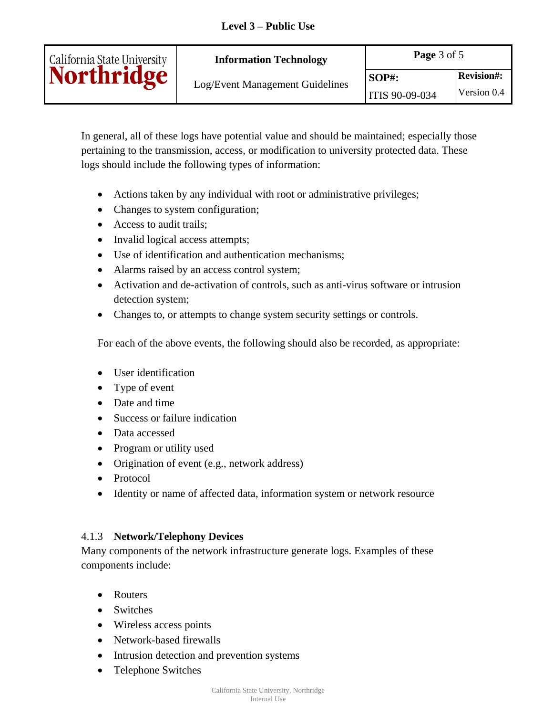| <b>Information Technology</b> |  |
|-------------------------------|--|
|                               |  |

In general, all of these logs have potential value and should be maintained; especially those pertaining to the transmission, access, or modification to university protected data. These logs should include the following types of information:

- Actions taken by any individual with root or administrative privileges;
- Changes to system configuration;
- Access to audit trails;

California State University<br>Northridge

- Invalid logical access attempts;
- Use of identification and authentication mechanisms;
- Alarms raised by an access control system;
- Activation and de-activation of controls, such as anti-virus software or intrusion detection system;
- Changes to, or attempts to change system security settings or controls.

For each of the above events, the following should also be recorded, as appropriate:

- User identification
- Type of event
- Date and time
- Success or failure indication
- Data accessed
- Program or utility used
- Origination of event (e.g., network address)
- Protocol
- Identity or name of affected data, information system or network resource

# 4.1.3 **Network/Telephony Devices**

Many components of the network infrastructure generate logs. Examples of these components include:

- Routers
- Switches
- Wireless access points
- Network-based firewalls
- Intrusion detection and prevention systems
- Telephone Switches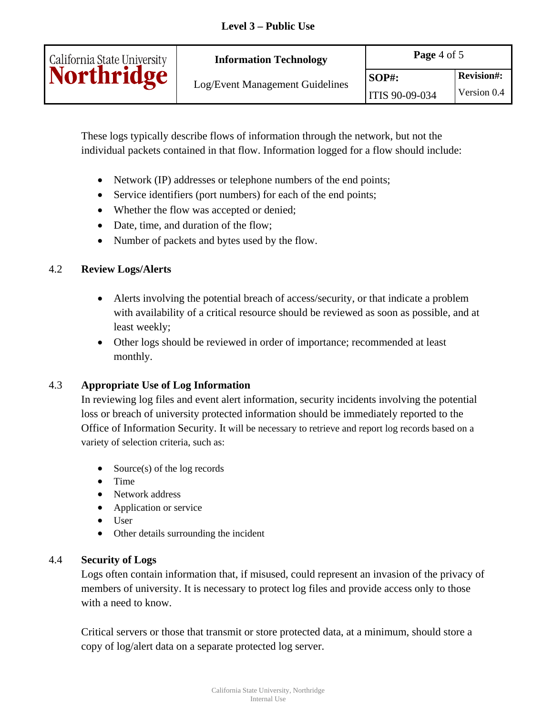| California State University | <b>Information Technology</b>   | Page 4 of 5    |                   |
|-----------------------------|---------------------------------|----------------|-------------------|
| <b>Northridge</b>           | Log/Event Management Guidelines | $SOP#$ :       | <b>Revision#:</b> |
|                             |                                 | ITIS 90-09-034 | Version 0.4       |

These logs typically describe flows of information through the network, but not the individual packets contained in that flow. Information logged for a flow should include:

- Network (IP) addresses or telephone numbers of the end points;
- Service identifiers (port numbers) for each of the end points;
- Whether the flow was accepted or denied;
- Date, time, and duration of the flow;
- Number of packets and bytes used by the flow.

### 4.2 **Review Logs/Alerts**

- Alerts involving the potential breach of access/security, or that indicate a problem with availability of a critical resource should be reviewed as soon as possible, and at least weekly;
- Other logs should be reviewed in order of importance; recommended at least monthly.

### 4.3 **Appropriate Use of Log Information**

In reviewing log files and event alert information, security incidents involving the potential loss or breach of university protected information should be immediately reported to the Office of Information Security. It will be necessary to retrieve and report log records based on a variety of selection criteria, such as:

- Source(s) of the log records
- Time
- Network address
- Application or service
- User
- Other details surrounding the incident

### 4.4 **Security of Logs**

Logs often contain information that, if misused, could represent an invasion of the privacy of members of university. It is necessary to protect log files and provide access only to those with a need to know.

Critical servers or those that transmit or store protected data, at a minimum, should store a copy of log/alert data on a separate protected log server.